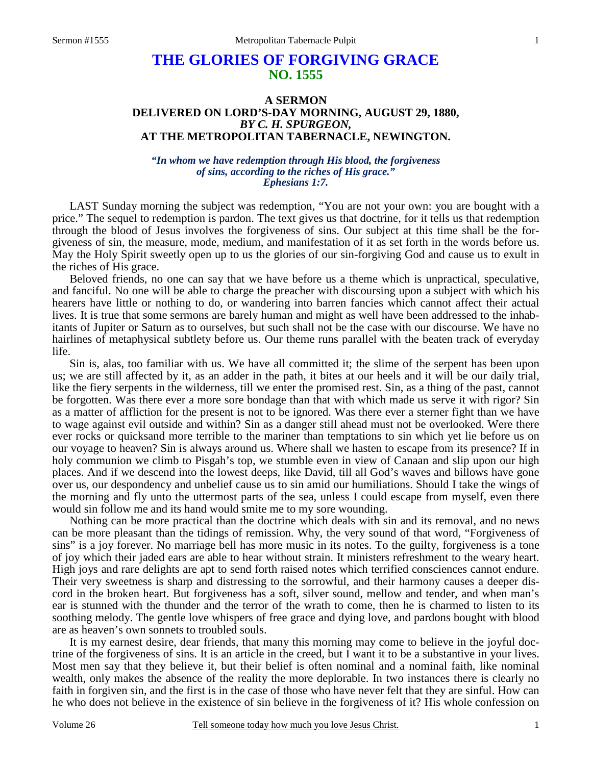## **THE GLORIES OF FORGIVING GRACE NO. 1555**

## **A SERMON DELIVERED ON LORD'S-DAY MORNING, AUGUST 29, 1880,**  *BY C. H. SPURGEON,*  **AT THE METROPOLITAN TABERNACLE, NEWINGTON.**

*"In whom we have redemption through His blood, the forgiveness of sins, according to the riches of His grace." Ephesians 1:7.* 

LAST Sunday morning the subject was redemption, "You are not your own: you are bought with a price." The sequel to redemption is pardon. The text gives us that doctrine, for it tells us that redemption through the blood of Jesus involves the forgiveness of sins. Our subject at this time shall be the forgiveness of sin, the measure, mode, medium, and manifestation of it as set forth in the words before us. May the Holy Spirit sweetly open up to us the glories of our sin-forgiving God and cause us to exult in the riches of His grace.

 Beloved friends, no one can say that we have before us a theme which is unpractical, speculative, and fanciful. No one will be able to charge the preacher with discoursing upon a subject with which his hearers have little or nothing to do, or wandering into barren fancies which cannot affect their actual lives. It is true that some sermons are barely human and might as well have been addressed to the inhabitants of Jupiter or Saturn as to ourselves, but such shall not be the case with our discourse. We have no hairlines of metaphysical subtlety before us. Our theme runs parallel with the beaten track of everyday life.

 Sin is, alas, too familiar with us. We have all committed it; the slime of the serpent has been upon us; we are still affected by it, as an adder in the path, it bites at our heels and it will be our daily trial, like the fiery serpents in the wilderness, till we enter the promised rest. Sin, as a thing of the past, cannot be forgotten. Was there ever a more sore bondage than that with which made us serve it with rigor? Sin as a matter of affliction for the present is not to be ignored. Was there ever a sterner fight than we have to wage against evil outside and within? Sin as a danger still ahead must not be overlooked. Were there ever rocks or quicksand more terrible to the mariner than temptations to sin which yet lie before us on our voyage to heaven? Sin is always around us. Where shall we hasten to escape from its presence? If in holy communion we climb to Pisgah's top, we stumble even in view of Canaan and slip upon our high places. And if we descend into the lowest deeps, like David, till all God's waves and billows have gone over us, our despondency and unbelief cause us to sin amid our humiliations. Should I take the wings of the morning and fly unto the uttermost parts of the sea, unless I could escape from myself, even there would sin follow me and its hand would smite me to my sore wounding.

 Nothing can be more practical than the doctrine which deals with sin and its removal, and no news can be more pleasant than the tidings of remission. Why, the very sound of that word, "Forgiveness of sins" is a joy forever. No marriage bell has more music in its notes. To the guilty, forgiveness is a tone of joy which their jaded ears are able to hear without strain. It ministers refreshment to the weary heart. High joys and rare delights are apt to send forth raised notes which terrified consciences cannot endure. Their very sweetness is sharp and distressing to the sorrowful, and their harmony causes a deeper discord in the broken heart. But forgiveness has a soft, silver sound, mellow and tender, and when man's ear is stunned with the thunder and the terror of the wrath to come, then he is charmed to listen to its soothing melody. The gentle love whispers of free grace and dying love, and pardons bought with blood are as heaven's own sonnets to troubled souls.

 It is my earnest desire, dear friends, that many this morning may come to believe in the joyful doctrine of the forgiveness of sins. It is an article in the creed, but I want it to be a substantive in your lives. Most men say that they believe it, but their belief is often nominal and a nominal faith, like nominal wealth, only makes the absence of the reality the more deplorable. In two instances there is clearly no faith in forgiven sin, and the first is in the case of those who have never felt that they are sinful. How can he who does not believe in the existence of sin believe in the forgiveness of it? His whole confession on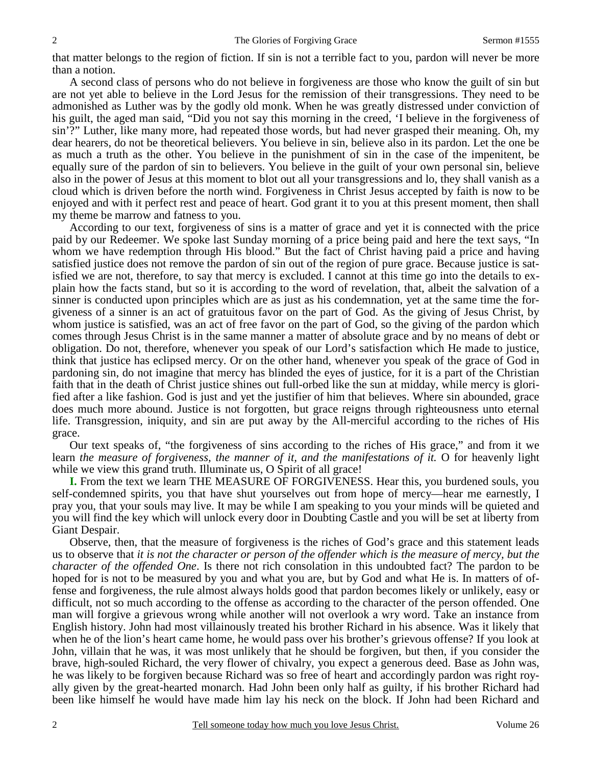that matter belongs to the region of fiction. If sin is not a terrible fact to you, pardon will never be more than a notion.

 A second class of persons who do not believe in forgiveness are those who know the guilt of sin but are not yet able to believe in the Lord Jesus for the remission of their transgressions. They need to be admonished as Luther was by the godly old monk. When he was greatly distressed under conviction of his guilt, the aged man said, "Did you not say this morning in the creed, 'I believe in the forgiveness of sin'?" Luther, like many more, had repeated those words, but had never grasped their meaning. Oh, my dear hearers, do not be theoretical believers. You believe in sin, believe also in its pardon. Let the one be as much a truth as the other. You believe in the punishment of sin in the case of the impenitent, be equally sure of the pardon of sin to believers. You believe in the guilt of your own personal sin, believe also in the power of Jesus at this moment to blot out all your transgressions and lo, they shall vanish as a cloud which is driven before the north wind. Forgiveness in Christ Jesus accepted by faith is now to be enjoyed and with it perfect rest and peace of heart. God grant it to you at this present moment, then shall my theme be marrow and fatness to you.

 According to our text, forgiveness of sins is a matter of grace and yet it is connected with the price paid by our Redeemer. We spoke last Sunday morning of a price being paid and here the text says, "In whom we have redemption through His blood." But the fact of Christ having paid a price and having satisfied justice does not remove the pardon of sin out of the region of pure grace. Because justice is satisfied we are not, therefore, to say that mercy is excluded. I cannot at this time go into the details to explain how the facts stand, but so it is according to the word of revelation, that, albeit the salvation of a sinner is conducted upon principles which are as just as his condemnation, yet at the same time the forgiveness of a sinner is an act of gratuitous favor on the part of God. As the giving of Jesus Christ, by whom justice is satisfied, was an act of free favor on the part of God, so the giving of the pardon which comes through Jesus Christ is in the same manner a matter of absolute grace and by no means of debt or obligation. Do not, therefore, whenever you speak of our Lord's satisfaction which He made to justice, think that justice has eclipsed mercy. Or on the other hand, whenever you speak of the grace of God in pardoning sin, do not imagine that mercy has blinded the eyes of justice, for it is a part of the Christian faith that in the death of Christ justice shines out full-orbed like the sun at midday, while mercy is glorified after a like fashion. God is just and yet the justifier of him that believes. Where sin abounded, grace does much more abound. Justice is not forgotten, but grace reigns through righteousness unto eternal life. Transgression, iniquity, and sin are put away by the All-merciful according to the riches of His grace.

 Our text speaks of, "the forgiveness of sins according to the riches of His grace," and from it we learn *the measure of forgiveness, the manner of it, and the manifestations of it.* O for heavenly light while we view this grand truth. Illuminate us, O Spirit of all grace!

**I.** From the text we learn THE MEASURE OF FORGIVENESS. Hear this, you burdened souls, you self-condemned spirits, you that have shut yourselves out from hope of mercy—hear me earnestly, I pray you, that your souls may live. It may be while I am speaking to you your minds will be quieted and you will find the key which will unlock every door in Doubting Castle and you will be set at liberty from Giant Despair.

 Observe, then, that the measure of forgiveness is the riches of God's grace and this statement leads us to observe that *it is not the character or person of the offender which is the measure of mercy, but the character of the offended One*. Is there not rich consolation in this undoubted fact? The pardon to be hoped for is not to be measured by you and what you are, but by God and what He is. In matters of offense and forgiveness, the rule almost always holds good that pardon becomes likely or unlikely, easy or difficult, not so much according to the offense as according to the character of the person offended. One man will forgive a grievous wrong while another will not overlook a wry word. Take an instance from English history. John had most villainously treated his brother Richard in his absence. Was it likely that when he of the lion's heart came home, he would pass over his brother's grievous offense? If you look at John, villain that he was, it was most unlikely that he should be forgiven, but then, if you consider the brave, high-souled Richard, the very flower of chivalry, you expect a generous deed. Base as John was, he was likely to be forgiven because Richard was so free of heart and accordingly pardon was right royally given by the great-hearted monarch. Had John been only half as guilty, if his brother Richard had been like himself he would have made him lay his neck on the block. If John had been Richard and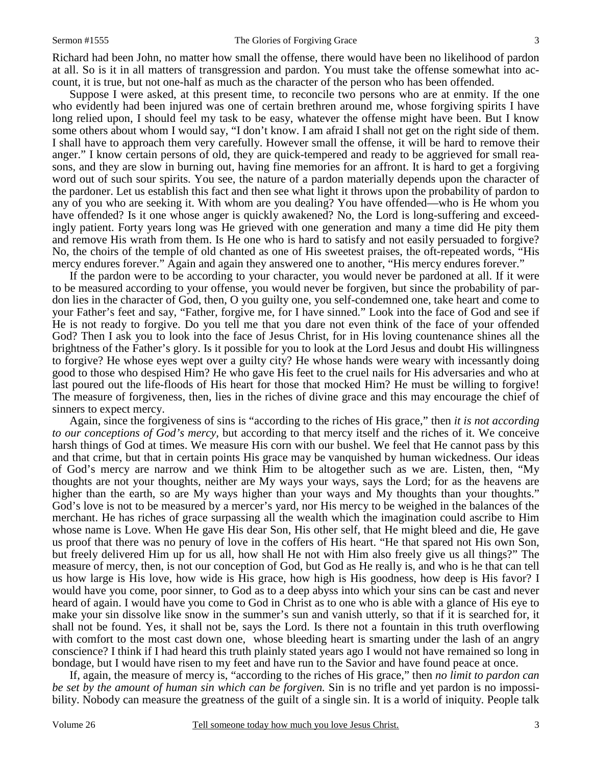Richard had been John, no matter how small the offense, there would have been no likelihood of pardon at all. So is it in all matters of transgression and pardon. You must take the offense somewhat into account, it is true, but not one-half as much as the character of the person who has been offended.

 Suppose I were asked, at this present time, to reconcile two persons who are at enmity. If the one who evidently had been injured was one of certain brethren around me, whose forgiving spirits I have long relied upon, I should feel my task to be easy, whatever the offense might have been. But I know some others about whom I would say, "I don't know. I am afraid I shall not get on the right side of them. I shall have to approach them very carefully. However small the offense, it will be hard to remove their anger." I know certain persons of old, they are quick-tempered and ready to be aggrieved for small reasons, and they are slow in burning out, having fine memories for an affront. It is hard to get a forgiving word out of such sour spirits. You see, the nature of a pardon materially depends upon the character of the pardoner. Let us establish this fact and then see what light it throws upon the probability of pardon to any of you who are seeking it. With whom are you dealing? You have offended—who is He whom you have offended? Is it one whose anger is quickly awakened? No, the Lord is long-suffering and exceedingly patient. Forty years long was He grieved with one generation and many a time did He pity them and remove His wrath from them. Is He one who is hard to satisfy and not easily persuaded to forgive? No, the choirs of the temple of old chanted as one of His sweetest praises, the oft-repeated words, "His mercy endures forever." Again and again they answered one to another, "His mercy endures forever."

 If the pardon were to be according to your character, you would never be pardoned at all. If it were to be measured according to your offense, you would never be forgiven, but since the probability of pardon lies in the character of God, then, O you guilty one, you self-condemned one, take heart and come to your Father's feet and say, "Father, forgive me, for I have sinned." Look into the face of God and see if He is not ready to forgive. Do you tell me that you dare not even think of the face of your offended God? Then I ask you to look into the face of Jesus Christ, for in His loving countenance shines all the brightness of the Father's glory. Is it possible for you to look at the Lord Jesus and doubt His willingness to forgive? He whose eyes wept over a guilty city? He whose hands were weary with incessantly doing good to those who despised Him? He who gave His feet to the cruel nails for His adversaries and who at last poured out the life-floods of His heart for those that mocked Him? He must be willing to forgive! The measure of forgiveness, then, lies in the riches of divine grace and this may encourage the chief of sinners to expect mercy.

 Again, since the forgiveness of sins is "according to the riches of His grace," then *it is not according to our conceptions of God's mercy,* but according to that mercy itself and the riches of it. We conceive harsh things of God at times. We measure His corn with our bushel. We feel that He cannot pass by this and that crime, but that in certain points His grace may be vanquished by human wickedness. Our ideas of God's mercy are narrow and we think Him to be altogether such as we are. Listen, then, "My thoughts are not your thoughts, neither are My ways your ways, says the Lord; for as the heavens are higher than the earth, so are My ways higher than your ways and My thoughts than your thoughts." God's love is not to be measured by a mercer's yard, nor His mercy to be weighed in the balances of the merchant. He has riches of grace surpassing all the wealth which the imagination could ascribe to Him whose name is Love. When He gave His dear Son, His other self, that He might bleed and die, He gave us proof that there was no penury of love in the coffers of His heart. "He that spared not His own Son, but freely delivered Him up for us all, how shall He not with Him also freely give us all things?" The measure of mercy, then, is not our conception of God, but God as He really is, and who is he that can tell us how large is His love, how wide is His grace, how high is His goodness, how deep is His favor? I would have you come, poor sinner, to God as to a deep abyss into which your sins can be cast and never heard of again. I would have you come to God in Christ as to one who is able with a glance of His eye to make your sin dissolve like snow in the summer's sun and vanish utterly, so that if it is searched for, it shall not be found. Yes, it shall not be, says the Lord. Is there not a fountain in this truth overflowing with comfort to the most cast down one, whose bleeding heart is smarting under the lash of an angry conscience? I think if I had heard this truth plainly stated years ago I would not have remained so long in bondage, but I would have risen to my feet and have run to the Savior and have found peace at once.

 If, again, the measure of mercy is, "according to the riches of His grace," then *no limit to pardon can be set by the amount of human sin which can be forgiven.* Sin is no trifle and yet pardon is no impossibility. Nobody can measure the greatness of the guilt of a single sin. It is a world of iniquity. People talk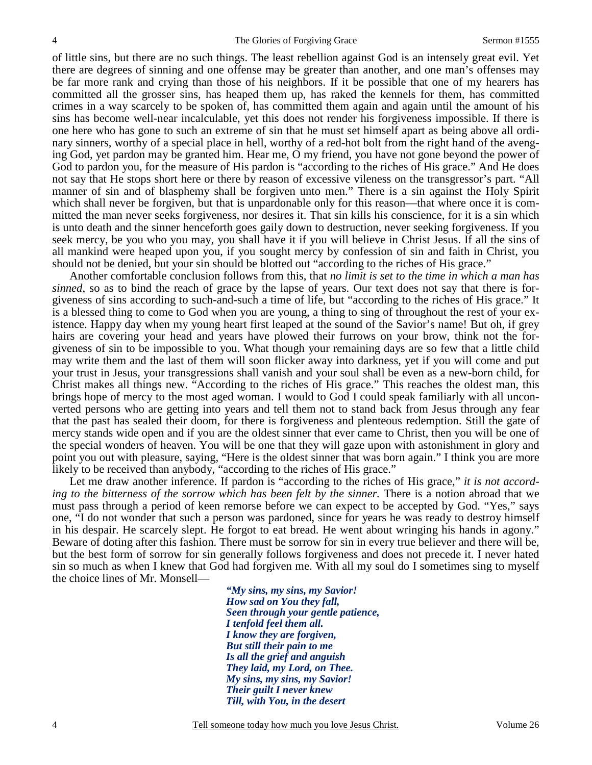of little sins, but there are no such things. The least rebellion against God is an intensely great evil. Yet there are degrees of sinning and one offense may be greater than another, and one man's offenses may be far more rank and crying than those of his neighbors. If it be possible that one of my hearers has committed all the grosser sins, has heaped them up, has raked the kennels for them, has committed crimes in a way scarcely to be spoken of, has committed them again and again until the amount of his sins has become well-near incalculable, yet this does not render his forgiveness impossible. If there is one here who has gone to such an extreme of sin that he must set himself apart as being above all ordinary sinners, worthy of a special place in hell, worthy of a red-hot bolt from the right hand of the avenging God, yet pardon may be granted him. Hear me, O my friend, you have not gone beyond the power of God to pardon you, for the measure of His pardon is "according to the riches of His grace." And He does not say that He stops short here or there by reason of excessive vileness on the transgressor's part. "All manner of sin and of blasphemy shall be forgiven unto men." There is a sin against the Holy Spirit which shall never be forgiven, but that is unpardonable only for this reason—that where once it is committed the man never seeks forgiveness, nor desires it. That sin kills his conscience, for it is a sin which is unto death and the sinner henceforth goes gaily down to destruction, never seeking forgiveness. If you seek mercy, be you who you may, you shall have it if you will believe in Christ Jesus. If all the sins of all mankind were heaped upon you, if you sought mercy by confession of sin and faith in Christ, you should not be denied, but your sin should be blotted out "according to the riches of His grace."

 Another comfortable conclusion follows from this, that *no limit is set to the time in which a man has sinned,* so as to bind the reach of grace by the lapse of years. Our text does not say that there is forgiveness of sins according to such-and-such a time of life, but "according to the riches of His grace." It is a blessed thing to come to God when you are young, a thing to sing of throughout the rest of your existence. Happy day when my young heart first leaped at the sound of the Savior's name! But oh, if grey hairs are covering your head and years have plowed their furrows on your brow, think not the forgiveness of sin to be impossible to you. What though your remaining days are so few that a little child may write them and the last of them will soon flicker away into darkness, yet if you will come and put your trust in Jesus, your transgressions shall vanish and your soul shall be even as a new-born child, for Christ makes all things new. "According to the riches of His grace." This reaches the oldest man, this brings hope of mercy to the most aged woman. I would to God I could speak familiarly with all unconverted persons who are getting into years and tell them not to stand back from Jesus through any fear that the past has sealed their doom, for there is forgiveness and plenteous redemption. Still the gate of mercy stands wide open and if you are the oldest sinner that ever came to Christ, then you will be one of the special wonders of heaven. You will be one that they will gaze upon with astonishment in glory and point you out with pleasure, saying, "Here is the oldest sinner that was born again." I think you are more likely to be received than anybody, "according to the riches of His grace."

 Let me draw another inference. If pardon is "according to the riches of His grace," *it is not according to the bitterness of the sorrow which has been felt by the sinner.* There is a notion abroad that we must pass through a period of keen remorse before we can expect to be accepted by God. "Yes," says one, "I do not wonder that such a person was pardoned, since for years he was ready to destroy himself in his despair. He scarcely slept. He forgot to eat bread. He went about wringing his hands in agony." Beware of doting after this fashion. There must be sorrow for sin in every true believer and there will be, but the best form of sorrow for sin generally follows forgiveness and does not precede it. I never hated sin so much as when I knew that God had forgiven me. With all my soul do I sometimes sing to myself the choice lines of Mr. Monsell—

> *"My sins, my sins, my Savior! How sad on You they fall, Seen through your gentle patience, I tenfold feel them all. I know they are forgiven, But still their pain to me Is all the grief and anguish They laid, my Lord, on Thee. My sins, my sins, my Savior! Their guilt I never knew Till, with You, in the desert*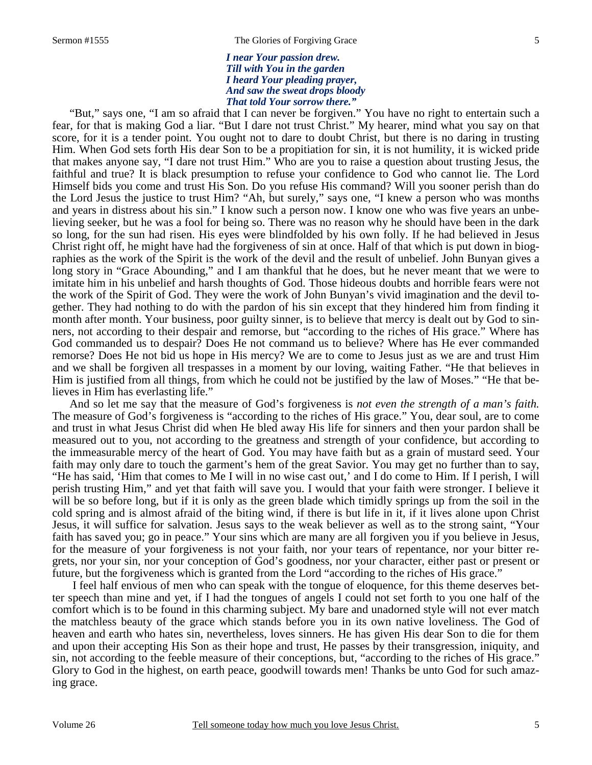*I near Your passion drew. Till with You in the garden I heard Your pleading prayer, And saw the sweat drops bloody That told Your sorrow there."* 

 "But," says one, "I am so afraid that I can never be forgiven." You have no right to entertain such a fear, for that is making God a liar. "But I dare not trust Christ." My hearer, mind what you say on that score, for it is a tender point. You ought not to dare to doubt Christ, but there is no daring in trusting Him. When God sets forth His dear Son to be a propitiation for sin, it is not humility, it is wicked pride that makes anyone say, "I dare not trust Him." Who are you to raise a question about trusting Jesus, the faithful and true? It is black presumption to refuse your confidence to God who cannot lie. The Lord Himself bids you come and trust His Son. Do you refuse His command? Will you sooner perish than do the Lord Jesus the justice to trust Him? "Ah, but surely," says one, "I knew a person who was months and years in distress about his sin." I know such a person now. I know one who was five years an unbelieving seeker, but he was a fool for being so. There was no reason why he should have been in the dark so long, for the sun had risen. His eyes were blindfolded by his own folly. If he had believed in Jesus Christ right off, he might have had the forgiveness of sin at once. Half of that which is put down in biographies as the work of the Spirit is the work of the devil and the result of unbelief. John Bunyan gives a long story in "Grace Abounding," and I am thankful that he does, but he never meant that we were to imitate him in his unbelief and harsh thoughts of God. Those hideous doubts and horrible fears were not the work of the Spirit of God. They were the work of John Bunyan's vivid imagination and the devil together. They had nothing to do with the pardon of his sin except that they hindered him from finding it month after month. Your business, poor guilty sinner, is to believe that mercy is dealt out by God to sinners, not according to their despair and remorse, but "according to the riches of His grace." Where has God commanded us to despair? Does He not command us to believe? Where has He ever commanded remorse? Does He not bid us hope in His mercy? We are to come to Jesus just as we are and trust Him and we shall be forgiven all trespasses in a moment by our loving, waiting Father. "He that believes in Him is justified from all things, from which he could not be justified by the law of Moses." "He that believes in Him has everlasting life."

 And so let me say that the measure of God's forgiveness is *not even the strength of a man's faith.* The measure of God's forgiveness is "according to the riches of His grace." You, dear soul, are to come and trust in what Jesus Christ did when He bled away His life for sinners and then your pardon shall be measured out to you, not according to the greatness and strength of your confidence, but according to the immeasurable mercy of the heart of God. You may have faith but as a grain of mustard seed. Your faith may only dare to touch the garment's hem of the great Savior. You may get no further than to say, "He has said, 'Him that comes to Me I will in no wise cast out,' and I do come to Him. If I perish, I will perish trusting Him," and yet that faith will save you. I would that your faith were stronger. I believe it will be so before long, but if it is only as the green blade which timidly springs up from the soil in the cold spring and is almost afraid of the biting wind, if there is but life in it, if it lives alone upon Christ Jesus, it will suffice for salvation. Jesus says to the weak believer as well as to the strong saint, "Your faith has saved you; go in peace." Your sins which are many are all forgiven you if you believe in Jesus, for the measure of your forgiveness is not your faith, nor your tears of repentance, nor your bitter regrets, nor your sin, nor your conception of God's goodness, nor your character, either past or present or future, but the forgiveness which is granted from the Lord "according to the riches of His grace."

 I feel half envious of men who can speak with the tongue of eloquence, for this theme deserves better speech than mine and yet, if I had the tongues of angels I could not set forth to you one half of the comfort which is to be found in this charming subject. My bare and unadorned style will not ever match the matchless beauty of the grace which stands before you in its own native loveliness. The God of heaven and earth who hates sin, nevertheless, loves sinners. He has given His dear Son to die for them and upon their accepting His Son as their hope and trust, He passes by their transgression, iniquity, and sin, not according to the feeble measure of their conceptions, but, "according to the riches of His grace." Glory to God in the highest, on earth peace, goodwill towards men! Thanks be unto God for such amazing grace.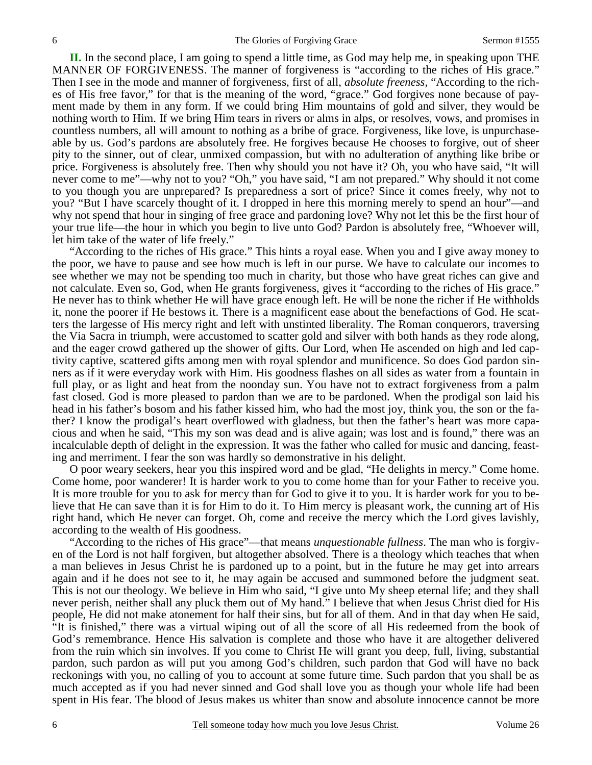**II.** In the second place, I am going to spend a little time, as God may help me, in speaking upon THE MANNER OF FORGIVENESS. The manner of forgiveness is "according to the riches of His grace." Then I see in the mode and manner of forgiveness, first of all, *absolute freeness,* "According to the riches of His free favor," for that is the meaning of the word, "grace." God forgives none because of payment made by them in any form. If we could bring Him mountains of gold and silver, they would be nothing worth to Him. If we bring Him tears in rivers or alms in alps, or resolves, vows, and promises in countless numbers, all will amount to nothing as a bribe of grace. Forgiveness, like love, is unpurchaseable by us. God's pardons are absolutely free. He forgives because He chooses to forgive, out of sheer pity to the sinner, out of clear, unmixed compassion, but with no adulteration of anything like bribe or price. Forgiveness is absolutely free. Then why should you not have it? Oh, you who have said, "It will never come to me"—why not to you? "Oh," you have said, "I am not prepared." Why should it not come to you though you are unprepared? Is preparedness a sort of price? Since it comes freely, why not to you? "But I have scarcely thought of it. I dropped in here this morning merely to spend an hour"—and why not spend that hour in singing of free grace and pardoning love? Why not let this be the first hour of your true life—the hour in which you begin to live unto God? Pardon is absolutely free, "Whoever will, let him take of the water of life freely."

 "According to the riches of His grace." This hints a royal ease. When you and I give away money to the poor, we have to pause and see how much is left in our purse. We have to calculate our incomes to see whether we may not be spending too much in charity, but those who have great riches can give and not calculate. Even so, God, when He grants forgiveness, gives it "according to the riches of His grace." He never has to think whether He will have grace enough left. He will be none the richer if He withholds it, none the poorer if He bestows it. There is a magnificent ease about the benefactions of God. He scatters the largesse of His mercy right and left with unstinted liberality. The Roman conquerors, traversing the Via Sacra in triumph, were accustomed to scatter gold and silver with both hands as they rode along, and the eager crowd gathered up the shower of gifts. Our Lord, when He ascended on high and led captivity captive, scattered gifts among men with royal splendor and munificence. So does God pardon sinners as if it were everyday work with Him. His goodness flashes on all sides as water from a fountain in full play, or as light and heat from the noonday sun. You have not to extract forgiveness from a palm fast closed. God is more pleased to pardon than we are to be pardoned. When the prodigal son laid his head in his father's bosom and his father kissed him, who had the most joy, think you, the son or the father? I know the prodigal's heart overflowed with gladness, but then the father's heart was more capacious and when he said, "This my son was dead and is alive again; was lost and is found," there was an incalculable depth of delight in the expression. It was the father who called for music and dancing, feasting and merriment. I fear the son was hardly so demonstrative in his delight.

 O poor weary seekers, hear you this inspired word and be glad, "He delights in mercy." Come home. Come home, poor wanderer! It is harder work to you to come home than for your Father to receive you. It is more trouble for you to ask for mercy than for God to give it to you. It is harder work for you to believe that He can save than it is for Him to do it. To Him mercy is pleasant work, the cunning art of His right hand, which He never can forget. Oh, come and receive the mercy which the Lord gives lavishly, according to the wealth of His goodness.

 "According to the riches of His grace"—that means *unquestionable fullness*. The man who is forgiven of the Lord is not half forgiven, but altogether absolved. There is a theology which teaches that when a man believes in Jesus Christ he is pardoned up to a point, but in the future he may get into arrears again and if he does not see to it, he may again be accused and summoned before the judgment seat. This is not our theology. We believe in Him who said, "I give unto My sheep eternal life; and they shall never perish, neither shall any pluck them out of My hand." I believe that when Jesus Christ died for His people, He did not make atonement for half their sins, but for all of them. And in that day when He said, "It is finished," there was a virtual wiping out of all the score of all His redeemed from the book of God's remembrance. Hence His salvation is complete and those who have it are altogether delivered from the ruin which sin involves. If you come to Christ He will grant you deep, full, living, substantial pardon, such pardon as will put you among God's children, such pardon that God will have no back reckonings with you, no calling of you to account at some future time. Such pardon that you shall be as much accepted as if you had never sinned and God shall love you as though your whole life had been spent in His fear. The blood of Jesus makes us whiter than snow and absolute innocence cannot be more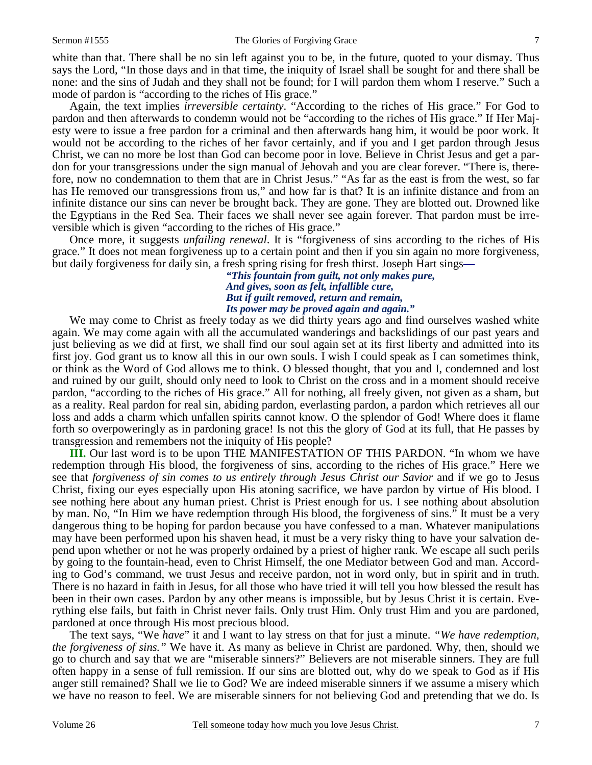white than that. There shall be no sin left against you to be, in the future, quoted to your dismay. Thus says the Lord, "In those days and in that time, the iniquity of Israel shall be sought for and there shall be none: and the sins of Judah and they shall not be found; for I will pardon them whom I reserve." Such a mode of pardon is "according to the riches of His grace."

 Again, the text implies *irreversible certainty*. "According to the riches of His grace." For God to pardon and then afterwards to condemn would not be "according to the riches of His grace." If Her Majesty were to issue a free pardon for a criminal and then afterwards hang him, it would be poor work. It would not be according to the riches of her favor certainly, and if you and I get pardon through Jesus Christ, we can no more be lost than God can become poor in love. Believe in Christ Jesus and get a pardon for your transgressions under the sign manual of Jehovah and you are clear forever. "There is, therefore, now no condemnation to them that are in Christ Jesus." "As far as the east is from the west, so far has He removed our transgressions from us," and how far is that? It is an infinite distance and from an infinite distance our sins can never be brought back. They are gone. They are blotted out. Drowned like the Egyptians in the Red Sea. Their faces we shall never see again forever. That pardon must be irreversible which is given "according to the riches of His grace."

 Once more, it suggests *unfailing renewal*. It is "forgiveness of sins according to the riches of His grace." It does not mean forgiveness up to a certain point and then if you sin again no more forgiveness, but daily forgiveness for daily sin, a fresh spring rising for fresh thirst. Joseph Hart sings**—**

> *"This fountain from guilt, not only makes pure, And gives, soon as felt, infallible cure, But if guilt removed, return and remain, Its power may be proved again and again."*

 We may come to Christ as freely today as we did thirty years ago and find ourselves washed white again. We may come again with all the accumulated wanderings and backslidings of our past years and just believing as we did at first, we shall find our soul again set at its first liberty and admitted into its first joy. God grant us to know all this in our own souls. I wish I could speak as I can sometimes think, or think as the Word of God allows me to think. O blessed thought, that you and I, condemned and lost and ruined by our guilt, should only need to look to Christ on the cross and in a moment should receive pardon, "according to the riches of His grace." All for nothing, all freely given, not given as a sham, but as a reality. Real pardon for real sin, abiding pardon, everlasting pardon, a pardon which retrieves all our loss and adds a charm which unfallen spirits cannot know. O the splendor of God! Where does it flame forth so overpoweringly as in pardoning grace! Is not this the glory of God at its full, that He passes by transgression and remembers not the iniquity of His people?

**III.** Our last word is to be upon THE MANIFESTATION OF THIS PARDON. "In whom we have redemption through His blood, the forgiveness of sins, according to the riches of His grace." Here we see that *forgiveness of sin comes to us entirely through Jesus Christ our Savior* and if we go to Jesus Christ, fixing our eyes especially upon His atoning sacrifice, we have pardon by virtue of His blood. I see nothing here about any human priest. Christ is Priest enough for us. I see nothing about absolution by man. No, "In Him we have redemption through His blood, the forgiveness of sins." It must be a very dangerous thing to be hoping for pardon because you have confessed to a man. Whatever manipulations may have been performed upon his shaven head, it must be a very risky thing to have your salvation depend upon whether or not he was properly ordained by a priest of higher rank. We escape all such perils by going to the fountain-head, even to Christ Himself, the one Mediator between God and man. According to God's command, we trust Jesus and receive pardon, not in word only, but in spirit and in truth. There is no hazard in faith in Jesus, for all those who have tried it will tell you how blessed the result has been in their own cases. Pardon by any other means is impossible, but by Jesus Christ it is certain. Everything else fails, but faith in Christ never fails. Only trust Him. Only trust Him and you are pardoned, pardoned at once through His most precious blood.

 The text says, "We *have*" it and I want to lay stress on that for just a minute. *"We have redemption, the forgiveness of sins."* We have it. As many as believe in Christ are pardoned. Why, then, should we go to church and say that we are "miserable sinners?" Believers are not miserable sinners. They are full often happy in a sense of full remission. If our sins are blotted out, why do we speak to God as if His anger still remained? Shall we lie to God? We are indeed miserable sinners if we assume a misery which we have no reason to feel. We are miserable sinners for not believing God and pretending that we do. Is